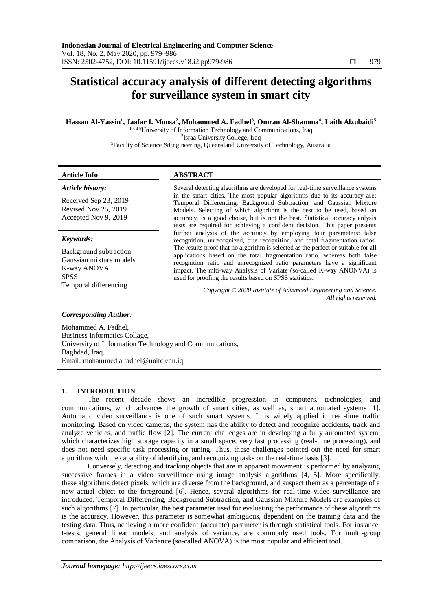# **Statistical accuracy analysis of different detecting algorithms for surveillance system in smart city**

# **Hassan Al-Yassin<sup>1</sup> , Jaafar I. Mousa<sup>2</sup> , Mohammed A. Fadhel<sup>3</sup> , Omran Al-Shamma<sup>4</sup> , Laith Alzubaidi<sup>5</sup>**

1,3,4,5University of Information Technology and Communications, Iraq 2 Israa University College, Iraq <sup>5</sup>Faculty of Science &Engineering, Queensland University of Technology, Australia

# **Article Info ABSTRACT**

*Article history:*

Received Sep 23, 2019 Revised Nov 25, 2019 Accepted Nov 9, 2019

# *Keywords:*

Background subtraction Gaussian mixture models K-way ANOVA **SPSS** Temporal differencing

Several detecting algorithms are developed for real-time surveillance systems in the smart cities. The most popular algorithms due to its accuracy are: Temporal Differencing, Background Subtraction, and Gaussian Mixture Models. Selecting of which algorithm is the best to be used, based on accuracy, is a good choise, but is not the best. Statistical accuracy anlysis tests are required for achieving a confident decision. This paper presents further analysis of the accuracy by employing four parameters: false recognition, unrecognized, true recognition, and total fragmentation ratios. The results proof that no algorithm is selected as the perfect or suitable for all applications based on the total fragmentation ratio, whereas both false recognition ratio and unrecognized ratio parameters have a significant impact. The mlti-way Analysis of Variate (so-called K-way ANONVA) is used for proofing the results based on SPSS statistics.

> *Copyright © 2020 Institute of Advanced Engineering and Science. All rights reserved.*

# *Corresponding Author:*

Mohammed A. Fadhel, Business Informatics Collage, University of Information Technology and Communications, Baghdad, Iraq. Email: mohammed.a.fadhel@uoitc.edu.iq

#### **1. INTRODUCTION**

The recent decade shows an incredible progression in computers, technologies, and communications, which advances the growth of smart cities, as well as, smart automated systems [1]. Automatic video surveillance is one of such smart systems. It is widely applied in real-time traffic monitoring. Based on video cameras, the system has the ability to detect and recognize accidents, track and analyze vehicles, and traffic flow [2]. The current challenges are in developing a fully automated system, which characterizes high storage capacity in a small space, very fast processing (real-time processing), and does not need specific task processing or tuning. Thus, these challenges pointed out the need for smart algorithms with the capability of identifying and recognizing tasks on the real-time basis [3].

Conversely, detecting and tracking objects that are in apparent movement is performed by analyzing successive frames in a video surveillance using image analysis algorithms [4, 5]. More specifically, these algorithms detect pixels, which are diverse from the background, and suspect them as a percentage of a new actual object to the foreground [6]. Hence, several algorithms for real-time video surveillance are introduced. Temporal Differencing, Background Subtraction, and Gaussian Mixture Models are examples of such algorithms [7]. In particular, the best parameter used for evaluating the performance of these algorithms is the accuracy. However, this parameter is somewhat ambiguous, dependent on the training data and the testing data. Thus, achieving a more confident (accurate) parameter is through statistical tools. For instance, t-tests, general linear models, and analysis of variance, are commonly used tools. For multi-group comparison, the Analysis of Variance (so-called ANOVA) is the most popular and efficient tool.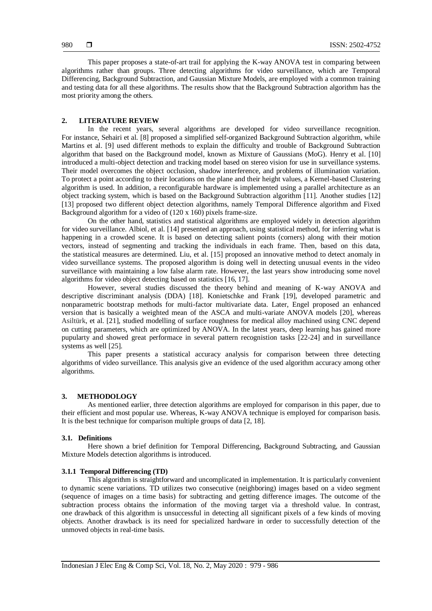This paper proposes a state-of-art trail for applying the K-way ANOVA test in comparing between algorithms rather than groups. Three detecting algorithms for video surveillance, which are Temporal Differencing, Background Subtraction, and Gaussian Mixture Models, are employed with a common training and testing data for all these algorithms. The results show that the Background Subtraction algorithm has the most priority among the others.

#### **2. LITERATURE REVIEW**

In the recent years, several algorithms are developed for video surveillance recognition. For instance, Sehairi et al. [8] proposed a simplified self-organized Background Subtraction algorithm, while Martins et al. [9] used different methods to explain the difficulty and trouble of Background Subtraction algorithm that based on the Background model, known as Mixture of Gaussians (MoG). Henry et al. [10] introduced a multi-object detection and tracking model based on stereo vision for use in surveillance systems. Their model overcomes the object occlusion, shadow interference, and problems of illumination variation. To protect a point according to their locations on the plane and their height values, a Kernel-based Clustering algorithm is used. In addition, a reconfigurable hardware is implemented using a parallel architecture as an object tracking system, which is based on the Background Subtraction algorithm [11]. Another studies [12] [13] proposed two different object detection algorithms, namely Temporal Difference algorithm and Fixed Background algorithm for a video of (120 x 160) pixels frame-size.

On the other hand, statistics and statistical algorithms are employed widely in detection algorithm for video surveillance. Albiol, et al. [14] presented an approach, using statistical method, for inferring what is happening in a crowded scene. It is based on detecting salient points (corners) along with their motion vectors, instead of segmenting and tracking the individuals in each frame. Then, based on this data, the statistical measures are determined. Liu, et al. [15] proposed an innovative method to detect anomaly in video surveillance systems. The proposed algorithm is doing well in detecting unusual events in the video surveillance with maintaining a low false alarm rate. However, the last years show introducing some novel algorithms for video object detecting based on statistics [16, 17].

However, several studies discussed the theory behind and meaning of K-way ANOVA and descriptive discriminant analysis (DDA) [18]. Konietschke and Frank [19], developed parametric and nonparametric bootstrap methods for multi-factor multivariate data. Later, Engel proposed an enhanced version that is basically a weighted mean of the ASCA and multi-variate ANOVA models [20], whereas Asiltürk, et al. [21], studied modelling of surface roughness for medical alloy machined using CNC depend on cutting parameters, which are optimized by ANOVA. In the latest years, deep learning has gained more pupularty and showed great performace in several pattern recognistion tasks [22-24] and in surveillance systems as well [25].

This paper presents a statistical accuracy analysis for comparison between three detecting algorithms of video surveillance. This analysis give an evidence of the used algorithm accuracy among other algorithms.

# **3. METHODOLOGY**

As mentioned earlier, three detection algorithms are employed for comparison in this paper, due to their efficient and most popular use. Whereas, K-way ANOVA technique is employed for comparison basis. It is the best technique for comparison multiple groups of data [2, 18].

#### **3.1. Definitions**

Here shown a brief definition for Temporal Differencing, Background Subtracting, and Gaussian Mixture Models detection algorithms is introduced.

### **3.1.1 Temporal Differencing (TD)**

This algorithm is straightforward and uncomplicated in implementation. It is particularly convenient to dynamic scene variations. TD utilizes two consecutive (neighboring) images based on a video segment (sequence of images on a time basis) for subtracting and getting difference images. The outcome of the subtraction process obtains the information of the moving target via a threshold value. In contrast, one drawback of this algorithm is unsuccessful in detecting all significant pixels of a few kinds of moving objects. Another drawback is its need for specialized hardware in order to successfully detection of the unmoved objects in real-time basis.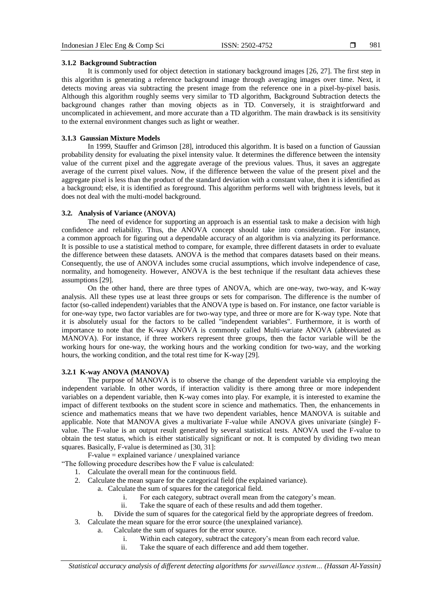981

#### **3.1.2 Background Subtraction**

It is commonly used for object detection in stationary background images [26, 27]. The first step in this algorithm is generating a reference background image through averaging images over time. Next, it detects moving areas via subtracting the present image from the reference one in a pixel-by-pixel basis. Although this algorithm roughly seems very similar to TD algorithm, Background Subtraction detects the background changes rather than moving objects as in TD. Conversely, it is straightforward and uncomplicated in achievement, and more accurate than a TD algorithm. The main drawback is its sensitivity to the external environment changes such as light or weather.

# **3.1.3 Gaussian Mixture Models**

In 1999, Stauffer and Grimson [28], introduced this algorithm. It is based on a function of Gaussian probability density for evaluating the pixel intensity value. It determines the difference between the intensity value of the current pixel and the aggregate average of the previous values. Thus, it saves an aggregate average of the current pixel values. Now, if the difference between the value of the present pixel and the aggregate pixel is less than the product of the standard deviation with a constant value, then it is identified as a background; else, it is identified as foreground. This algorithm performs well with brightness levels, but it does not deal with the multi-model background.

#### **3.2. Analysis of Variance (ANOVA)**

The need of evidence for supporting an approach is an essential task to make a decision with high confidence and reliability. Thus, the ANOVA concept should take into consideration. For instance, a common approach for figuring out a dependable accuracy of an algorithm is via analyzing its performance. It is possible to use a statistical method to compare, for example, three different datasets in order to evaluate the difference between these datasets. ANOVA is the method that compares datasets based on their means. Consequently, the use of ANOVA includes some crucial assumptions, which involve independence of case, normality, and homogeneity. However, ANOVA is the best technique if the resultant data achieves these assumptions [29].

On the other hand, there are three types of ANOVA, which are one-way, two-way, and K-way analysis. All these types use at least three groups or sets for comparison. The difference is the number of factor (so-called independent) variables that the ANOVA type is based on. For instance, one factor variable is for one-way type, two factor variables are for two-way type, and three or more are for K-way type. Note that it is absolutely usual for the factors to be called "independent variables". Furthermore, it is worth of importance to note that the K-way ANOVA is commonly called Multi-variate ANOVA (abbreviated as MANOVA). For instance, if three workers represent three groups, then the factor variable will be the working hours for one-way, the working hours and the working condition for two-way, and the working hours, the working condition, and the total rest time for K-way [29].

# **3.2.1 K-way ANOVA (MANOVA)**

The purpose of MANOVA is to observe the change of the dependent variable via employing the independent variable. In other words, if interaction validity is there among three or more independent variables on a dependent variable, then K-way comes into play. For example, it is interested to examine the impact of different textbooks on the student score in science and mathematics. Then, the enhancements in science and mathematics means that we have two dependent variables, hence MANOVA is suitable and applicable. Note that MANOVA gives a multivariate F-value while ANOVA gives univariate (single) Fvalue. The F-value is an output result generated by several statistical tests. ANOVA used the F-value to obtain the test status, which is either statistically significant or not. It is computed by dividing two mean squares. Basically, F-value is determined as [30, 31]:

F-value = explained variance / unexplained variance

"The following procedure describes how the F value is calculated:

- 1. Calculate the overall mean for the continuous field.
- 2. Calculate the mean square for the categorical field (the explained variance).
	- a. Calculate the sum of squares for the categorical field.
		- i. For each category, subtract overall mean from the category's mean.
		- ii. Take the square of each of these results and add them together.
	- b. Divide the sum of squares for the categorical field by the appropriate degrees of freedom.
- 3. Calculate the mean square for the error source (the unexplained variance).
	- a. Calculate the sum of squares for the error source.
		- i. Within each category, subtract the category's mean from each record value.
		- ii. Take the square of each difference and add them together.

*Statistical accuracy analysis of different detecting algorithms for surveillance system… (Hassan Al-Yassin)*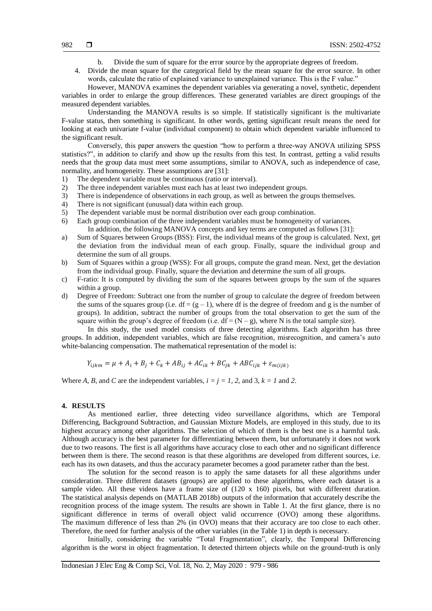- b. Divide the sum of square for the error source by the appropriate degrees of freedom.
- 4. Divide the mean square for the categorical field by the mean square for the error source. In other words, calculate the ratio of explained variance to unexplained variance. This is the F value."

However, MANOVA examines the dependent variables via generating a novel, synthetic, dependent variables in order to enlarge the group differences. These generated variables are direct groupings of the measured dependent variables.

Understanding the MANOVA results is so simple. If statistically significant is the multivariate F-value status, then something is significant. In other words, getting significant result means the need for looking at each univariate f-value (individual component) to obtain which dependent variable influenced to the significant result.

Conversely, this paper answers the question "how to perform a three-way ANOVA utilizing SPSS statistics?", in addition to clarify and show up the results from this test. In contrast, getting a valid results needs that the group data must meet some assumptions, similar to ANOVA, such as independence of case, normality, and homogeneity. These assumptions are [31]:

- 1) The dependent variable must be continuous (ratio or interval).
- 2) The three independent variables must each has at least two independent groups.
- 3) There is independence of observations in each group, as well as between the groups themselves.
- 4) There is not significant (unusual) data within each group.
- 5) The dependent variable must be normal distribution over each group combination.
- 6) Each group combination of the three independent variables must be homogeneity of variances. In addition, the following MANOVA concepts and key terms are computed as follows [31]:
- a) Sum of Squares between Groups (BSS): First, the individual means of the group is calculated. Next, get the deviation from the individual mean of each group. Finally, square the individual group and determine the sum of all groups.
- b) Sum of Squares within a group (WSS): For all groups, compute the grand mean. Next, get the deviation from the individual group. Finally, square the deviation and determine the sum of all groups.
- c) F-ratio: It is computed by dividing the sum of the squares between groups by the sum of the squares within a group.
- d) Degree of Freedom: Subtract one from the number of group to calculate the degree of freedom between the sums of the squares group (i.e.  $df = (g - 1)$ , where df is the degree of freedom and g is the number of groups). In addition, subtract the number of groups from the total observation to get the sum of the square within the group's degree of freedom (i.e.  $df = (N - g)$ , where N is the total sample size).

In this study, the used model consists of three detecting algorithms. Each algorithm has three groups. In addition, independent variables, which are false recognition, misrecognition, and camera's auto white-balancing compensation. The mathematical representation of the model is:

$$
Y_{ijkm} = \mu + A_i + B_j + C_k + AB_{ij} + AC_{ik} + BC_{jk} + ABC_{ijk} + \varepsilon_{m(ijk)}
$$

Where *A*, *B*, and *C* are the independent variables,  $i = j = 1, 2,$  and 3,  $k = 1$  and 2.

#### **4. RESULTS**

As mentioned earlier, three detecting video surveillance algorithms, which are Temporal Differencing, Background Subtraction, and Gaussian Mixture Models, are employed in this study, due to its highest accuracy among other algorithms. The selection of which of them is the best one is a harmful task. Although accuracy is the best parameter for differentiating between them, but unfortunately it does not work due to two reasons. The first is all algorithms have accuracy close to each other and no significant difference between them is there. The second reason is that these algorithms are developed from different sources, i.e. each has its own datasets, and thus the accuracy parameter becomes a good parameter rather than the best.

The solution for the second reason is to apply the same datasets for all these algorithms under consideration. Three different datasets (groups) are applied to these algorithms, where each dataset is a sample video. All these videos have a frame size of (120 x 160) pixels, but with different duration. The statistical analysis depends on (MATLAB 2018b) outputs of the information that accurately describe the recognition process of the image system. The results are shown in Table 1. At the first glance, there is no significant difference in terms of overall object valid occurrence (OVO) among these algorithms. The maximum difference of less than 2% (in OVO) means that their accuracy are too close to each other. Therefore, the need for further analysis of the other variables (in the Table 1) in depth is necessary.

Initially, considering the variable "Total Fragmentation", clearly, the Temporal Differencing algorithm is the worst in object fragmentation. It detected thirteen objects while on the ground-truth is only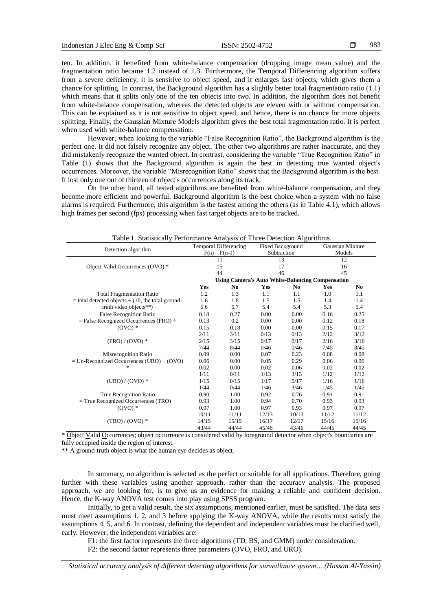ten. In addition, it benefited from white-balance compensation (dropping image mean value) and the fragmentation ratio became 1.2 instead of 1.3. Furthermore, the Temporal Differencing algorithm suffers from a severe deficiency, it is sensitive to object speed, and it enlarges fast objects, which gives them a chance for splitting. In contrast, the Background algorithm has a slightly better total fragmentation ratio (1.1) which means that it splits only one of the ten objects into two. In addition, the algorithm does not benefit from white-balance compensation, whereas the detected objects are eleven with or without compensation. This can be explained as it is not sensitive to object speed, and hence, there is no chance for more objects splitting. Finally, the Gaussian Mixture Models algorithm gives the best total fragmentation ratio. It is perfect when used with white-balance compensation.

However, when looking to the variable "False Recognition Ratio", the Background algorithm is the perfect one. It did not falsely recognize any object. The other two algorithms are rather inaccurate, and they did mistakenly recognize the wanted object. In contrast, considering the variable "True Recognition Ratio" in Table (1) shows that the Background algorithm is again the best in detecting true wanted object's occurrences. Moreover, the variable "Misrecognition Ratio" shows that the Background algorithm is the best. It lost only one out of thirteen of object's occurrences along its track.

On the other hand, all tested algorithms are benefited from white-balance compensation, and they become more efficient and powerful. Background algorithm is the best choice when a system with no false alarms is required. Furthermore, this algorithm is the fastest among the others (as in Table 4.1), which allows high frames per second (fps) processing when fast target objects are to be tracked.

| Table 1. Statistically I criticially Aliatysis of Three Detection Argorithms | <b>Temporal Differencing</b>                                                                              |       |             | Fixed Background |        | Gaussian Mixture |  |
|------------------------------------------------------------------------------|-----------------------------------------------------------------------------------------------------------|-------|-------------|------------------|--------|------------------|--|
| Detection algorithm                                                          | $F(n) - F(n-1)$                                                                                           |       | Subtraction |                  | Models |                  |  |
|                                                                              | 11                                                                                                        |       | 13          |                  | 12     |                  |  |
| Object Valid Occurrences (OVO) *                                             | 15                                                                                                        |       | 17          |                  | 16     |                  |  |
|                                                                              | 44                                                                                                        |       | 46          |                  | 45     |                  |  |
|                                                                              |                                                                                                           |       |             |                  |        |                  |  |
|                                                                              | <b>Using Camera's Auto White-Balancing Compensation</b><br>Yes<br>N <sub>0</sub><br>Yes<br>N <sub>0</sub> |       |             |                  | Yes    | N <sub>0</sub>   |  |
| <b>Total Fragmentation Ratio</b>                                             | 1.2                                                                                                       | 1.3   | 1.1         | 1.1              | 1.0    | 1.1              |  |
| $=$ total detected objects $\div$ (10, the total ground-                     | 1.6                                                                                                       | 1.8   | 1.5         | 1.5              | 1.4    | 1.4              |  |
| truth video objects**)                                                       | 5.6                                                                                                       | 5.7   | 5.4         | 5.4              | 5.3    | 5.4              |  |
| <b>False Recognition Ratio</b>                                               | 0.18                                                                                                      | 0.27  | 0.00        | 0.00             | 0.16   | 0.25             |  |
|                                                                              | 0.13                                                                                                      | 0.2   | 0.00        | 0.00             | 0.12   | 0.18             |  |
| $=$ False Recognized Occurrences (FRO) $\div$                                |                                                                                                           |       |             |                  |        |                  |  |
| $(OVO)*$                                                                     | 0.15                                                                                                      | 0.18  | 0.00        | 0.00             | 0.15   | 0.17             |  |
|                                                                              | 2/11                                                                                                      | 3/11  | 0/13        | 0/13             | 2/12   | 3/12             |  |
| $(FRO) / (OVO)$ *                                                            | 2/15                                                                                                      | 3/15  | 0/17        | 0/17             | 2/16   | 3/16             |  |
|                                                                              | 7/44                                                                                                      | 8/44  | 0/46        | 0/46             | 7/45   | 8/45             |  |
| Misrecognition Ratio                                                         | 0.09                                                                                                      | 0.00  | 0.07        | 0.23             | 0.08   | 0.08             |  |
| $=$ Un-Recognized Occurrences (URO) $\div$ (OVO)                             | 0.06                                                                                                      | 0.00  | 0.05        | 0.29             | 0.06   | 0.06             |  |
| $\star$                                                                      | 0.02                                                                                                      | 0.00  | 0.02        | 0.06             | 0.02   | 0.02             |  |
|                                                                              | 1/11                                                                                                      | 0/11  | 1/13        | 3/13             | 1/12   | 1/12             |  |
| $( URO ) / ( OVO )$ *                                                        | 1/15                                                                                                      | 0/15  | 1/17        | 5/17             | 1/16   | 1/16             |  |
|                                                                              | 1/44                                                                                                      | 0/44  | 1/46        | 3/46             | 1/45   | 1/45             |  |
| True Recognition Ratio                                                       | 0.90                                                                                                      | 1.00  | 0.92        | 0.76             | 0.91   | 0.91             |  |
| $=$ True Recognized Occurrences (TRO) $\div$                                 | 0.93                                                                                                      | 1.00  | 0.94        | 0.70             | 0.93   | 0.93             |  |
| $(OVO)*$                                                                     | 0.97                                                                                                      | 1.00  | 0.97        | 0.93             | 0.97   | 0.97             |  |
|                                                                              | 10/11                                                                                                     | 11/11 | 12/13       | 10/13            | 11/12  | 11/12            |  |
| $(TRO)/(OVO)*$                                                               | 14/15                                                                                                     | 15/15 | 16/17       | 12/17            | 15/16  | 15/16            |  |
|                                                                              | 43/44                                                                                                     | 44/44 | 45/46       | 43/46            | 44/45  | 44/45            |  |

Table 1. Statistically Performance Analysis of Three Detection Algorithms

\* Object Valid Occurrences; object occurrence is considered valid by foreground detector when object's boundaries are fully occupied inside the region of interest.

\*\* A ground-truth object is what the human eye decides as object.

In summary, no algorithm is selected as the perfect or suitable for all applications. Therefore, going further with these variables using another approach, rather than the accuracy analysis. The proposed approach, we are looking for, is to give us an evidence for making a reliable and confident decision. Hence, the K-way ANOVA test comes into play using SPSS program.

Initially, to get a valid result, the six assumptions, mentioned earlier, must be satisfied. The data sets must meet assumptions 1, 2, and 3 before applying the K-way ANOVA, while the results must satisfy the assumptions 4, 5, and 6. In contrast, defining the dependent and independent variables must be clarified well, early. However, the independent variables are:

F1: the first factor represents the three algorithms (TD, BS, and GMM) under consideration.

F2: the second factor represents three parameters (OVO, FRO, and URO).

*Statistical accuracy analysis of different detecting algorithms for surveillance system… (Hassan Al-Yassin)*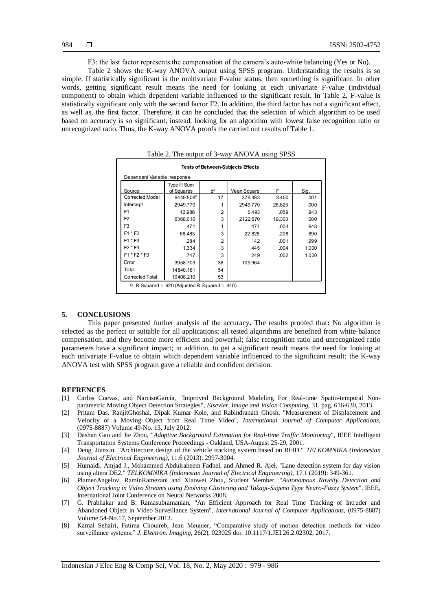F3: the last factor represents the compensation of the camera's auto-white balancing (Yes or No).

Table 2 shows the K-way ANOVA output using SPSS program. Understanding the results is so simple. If statistically significant is the multivariate F-value status, then something is significant. In other words, getting significant result means the need for looking at each univariate F-value (individual component) to obtain which dependent variable influenced to the significant result. In Table 2, F-value is statistically significant only with the second factor F2. In addition, the third factor has not a significant effect, as well as, the first factor. Therefore, it can be concluded that the selection of which algorithm to be used based on accuracy is so significant, instead, looking for an algorithm with lowest false recognition ratio or unrecognized ratio. Thus, the K-way ANOVA proofs the carried out results of Table 1.

| <b>Tests of Between-Subjects Effects</b>        |                            |                |             |        |       |  |  |  |  |  |
|-------------------------------------------------|----------------------------|----------------|-------------|--------|-------|--|--|--|--|--|
| Dependent Variable: response                    |                            |                |             |        |       |  |  |  |  |  |
| Source                                          | Type III Sum<br>of Squares | df             | Mean Square | F      | Sig.  |  |  |  |  |  |
| Corrected Model                                 | 6449.508 <sup>a</sup>      | 17             | 379.383     | 3.450  | .001  |  |  |  |  |  |
| Intercept                                       | 2949.770                   |                | 2949.770    | 26.825 | .000  |  |  |  |  |  |
| F <sub>1</sub>                                  | 12.986                     | 2              | 6.493       | .059   | .943  |  |  |  |  |  |
| F <sub>2</sub>                                  | 6368.010                   | 3              | 2122.670    | 19.303 | .000  |  |  |  |  |  |
| F <sub>3</sub>                                  | .471                       | 1              | .471        | .004   | .948  |  |  |  |  |  |
| $F1 * F2$                                       | 68.483                     | 3              | 22.828      | .208   | .890  |  |  |  |  |  |
| $F1 * F3$                                       | .284                       | $\overline{2}$ | .142        | .001   | .999  |  |  |  |  |  |
| $F2 * F3$                                       | 1.334                      | 3              | .445        | .004   | 1.000 |  |  |  |  |  |
| F1 * F2 * F3                                    | .747                       | 3              | .249        | .002   | 1.000 |  |  |  |  |  |
| Error                                           | 3958.703                   | 36             | 109.964     |        |       |  |  |  |  |  |
| Total                                           | 14840.181                  | 54             |             |        |       |  |  |  |  |  |
| Corrected Total                                 | 10408.210                  | 53             |             |        |       |  |  |  |  |  |
| a. R Squared = .620 (Adjusted R Squared = .440) |                            |                |             |        |       |  |  |  |  |  |

Table 2. The output of 3-way ANOVA using SPSS

#### **5. CONCLUSIONS**

This paper presented further analysis of the accuracy**.** The results proofed that**:** No algorithm is selected as the perfect or suitable for all applications; all tested algorithms are benefited from white-balance compensation, and they become more efficient and powerful; false recognition ratio and unrecognized ratio parameters have a significant impact; in addition, to get a significant result means the need for looking at each univariate F-value to obtain which dependent variable influenced to the significant result; the K-way ANOVA test with SPSS program gave a reliable and confident decision.

#### **REFRENCES**

- [1] Carlos Cuevas, and NarcisoGarcía, "Improved Background Modeling For Real-time Spatio-temporal Nonparametric Moving Object Detection Strategies", *Elsevier, Image and Vision Computing,* 31, pag. 616-630, 2013.
- [2] Pritam Das, RanjitGhoshal, Dipak Kumar Kole, and Rabindranath Ghosh, "Measurement of Displacement and Velocity of a Moving Object from Real Time Video", *International Journal of Computer Applications,*  (0975-8887) Volume 49-No. 13, July 2012.
- [3] Dashan Gao and Jie Zhou, "*Adaptive Background Estimation for Real-time Traffic Monitoring*", IEEE Intelligent Transportation Systems Conference Proceedings - Oakland, USA-August 25-29, 2001.
- [4] Deng, Jianxin. "Architecture design of the vehicle tracking system based on RFID." *TELKOMNIKA (Indonesian Journal of Electrical Engineering),* 11.6 (2013): 2997-3004.
- [5] Humaidi, Amjad J., Mohammed Abdulraheem Fadhel, and Ahmed R. Ajel. "Lane detection system for day vision using altera DE2." *TELKOMNIKA (Indonesian Journal of Electrical Engineering),* 17.1 (2019): 349-361.
- [6] PlamenAngelov, RaminRamezani and Xiaowei Zhou, Student Member, "*Autonomous Novelty Detection and Object Tracking in Video Streams using Evolving Clustering and Takagi-Sugeno Type Neuro-Fuzzy System*", IEEE, International Joint Conference on Neural Networks 2008.
- [7] G. Prabhakar and B. Ramasubramanian, "An Efficient Approach for Real Time Tracking of Intruder and Abandoned Object in Video Surveillance System", *International Journal of Computer Applications,* (0975-8887) Volume 54-No.17, September 2012.
- [8] Kamal Sehairi, Fatima Chouireb, Jean Meunier, "Comparative study of motion detection methods for video surveillance systems," *J. Electron. Imaging,* 26(2), 023025 doi: 10.1117/1.JEI.26.2.02302, 2017.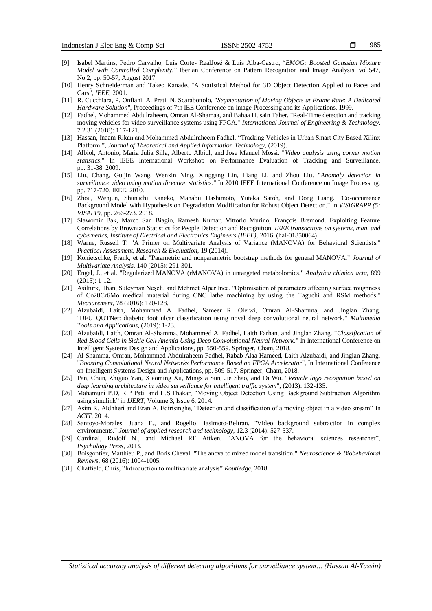- [9] Isabel Martins, Pedro Carvalho, Luís Corte- RealJosé & Luis Alba-Castro, "*BMOG: Boosted Gaussian Mixture Model with Controlled Complexity*," Iberian Conference on Pattern Recognition and Image Analysis, vol.547, No 2, pp. 50-57, August 2017.
- [10] Henry Schneiderman and Takeo Kanade, "A Statistical Method for 3D Object Detection Applied to Faces and Cars", *IEEE*, 2001.
- [11] R. Cucchiara, P. Onfiani, A. Prati, N. Scarabottolo, "*Segmentation of Moving Objects at Frame Rate: A Dedicated Hardware Solution*", Proceedings of 7th IEE Conference on Image Processing and its Applications, 1999.
- [12] Fadhel, Mohammed Abdulraheem, Omran Al-Shamaa, and Bahaa Husain Taher. "Real-Time detection and tracking moving vehicles for video surveillance systems using FPGA." *International Journal of Engineering & Technology,*  7.2.31 (2018): 117-121.
- [13] Hassan, Inaam Rikan and Mohammed Abdulraheem Fadhel. "Tracking Vehicles in Urban Smart City Based Xilinx Platform.", *Journal of Theoretical and Applied Information Technology*, (2019).
- [14] Albiol, Antonio, Maria Julia Silla, Alberto Albiol, and Jose Manuel Mossi. "*Video analysis using corner motion statistics*." In IEEE International Workshop on Performance Evaluation of Tracking and Surveillance, pp. 31-38. 2009.
- [15] Liu, Chang, Guijin Wang, Wenxin Ning, Xinggang Lin, Liang Li, and Zhou Liu. "*Anomaly detection in surveillance video using motion direction statistics*." In 2010 IEEE International Conference on Image Processing, pp. 717-720. IEEE, 2010.
- [16] Zhou, Wenjun, Shun'ichi Kaneko, Manabu Hashimoto, Yutaka Satoh, and Dong Liang. "Co-occurrence Background Model with Hypothesis on Degradation Modification for Robust Object Detection." In *VISIGRAPP (5: VISAPP),* pp. 266-273. 2018.
- [17] Slawomir Bak, Marco San Biagio, Ratnesh Kumar, Vittorio Murino, François Bremond. Exploiting Feature Correlations by Brownian Statistics for People Detection and Recognition. *IEEE transactions on systems, man, and cybernetics, Institute of Electrical and Electronics Engineers (IEEE),* 2016. (hal-01850064).
- [18] Warne, Russell T. "A Primer on Multivariate Analysis of Variance (MANOVA) for Behavioral Scientists." *Practical Assessment, Research & Evaluation,* 19 (2014).
- [19] Konietschke, Frank, et al. "Parametric and nonparametric bootstrap methods for general MANOVA." *Journal of Multivariate Analysis,* 140 (2015): 291-301.
- [20] Engel, J., et al. "Regularized MANOVA (rMANOVA) in untargeted metabolomics." *Analytica chimica acta,* 899 (2015): 1-12.
- [21] Asiltürk, Ilhan, Süleyman Neşeli, and Mehmet Alper Ince. "Optimisation of parameters affecting surface roughness of Co28Cr6Mo medical material during CNC lathe machining by using the Taguchi and RSM methods." *Measurement,* 78 (2016): 120-128.
- [22] Alzubaidi, Laith, Mohammed A. Fadhel, Sameer R. Oleiwi, Omran Al-Shamma, and Jinglan Zhang. "DFU\_QUTNet: diabetic foot ulcer classification using novel deep convolutional neural network." *Multimedia Tools and Applications,* (2019): 1-23.
- [23] Alzubaidi, Laith, Omran Al-Shamma, Mohammed A. Fadhel, Laith Farhan, and Jinglan Zhang. "*Classification of Red Blood Cells in Sickle Cell Anemia Using Deep Convolutional Neural Network*." In International Conference on Intelligent Systems Design and Applications, pp. 550-559. Springer, Cham, 2018.
- [24] Al-Shamma, Omran, Mohammed Abdulraheem Fadhel, Rabab Alaa Hameed, Laith Alzubaidi, and Jinglan Zhang. "*Boosting Convolutional Neural Networks Performance Based on FPGA Accelerator*", In International Conference on Intelligent Systems Design and Applications, pp. 509-517. Springer, Cham, 2018.
- [25] Pan, Chun, Zhiguo Yan, Xiaoming Xu, Mingxia Sun, Jie Shao, and Di Wu. "*Vehicle logo recognition based on deep learning architecture in video surveillance for intelligent traffic system*", (2013): 132-135.
- [26] Mahamuni P.D, R.P Patil and H.S.Thakar, "Moving Object Detection Using Background Subtraction Algorithm using simulink" in *IJERT,* Volume 3, Issue 6, 2014.
- [27] Asim R. Aldhheri and Eran A. Edirisinghe, "Detection and classification of a moving object in a video stream" in *ACIT*, 2014.
- [28] Santoyo-Morales, Juana E., and Rogelio Hasimoto-Beltran. "Video background subtraction in complex environments." *Journal of applied research and technology,* 12.3 (2014): 527-537.
- [29] Cardinal, Rudolf N., and Michael RF Aitken. "ANOVA for the behavioral sciences researcher", *Psychology Press*, 2013.
- [30] Boisgontier, Matthieu P., and Boris Cheval. "The anova to mixed model transition." *Neuroscience & Biobehavioral Reviews,* 68 (2016): 1004-1005.
- [31] Chatfield, Chris, "Introduction to multivariate analysis" *Routledge*, 2018.